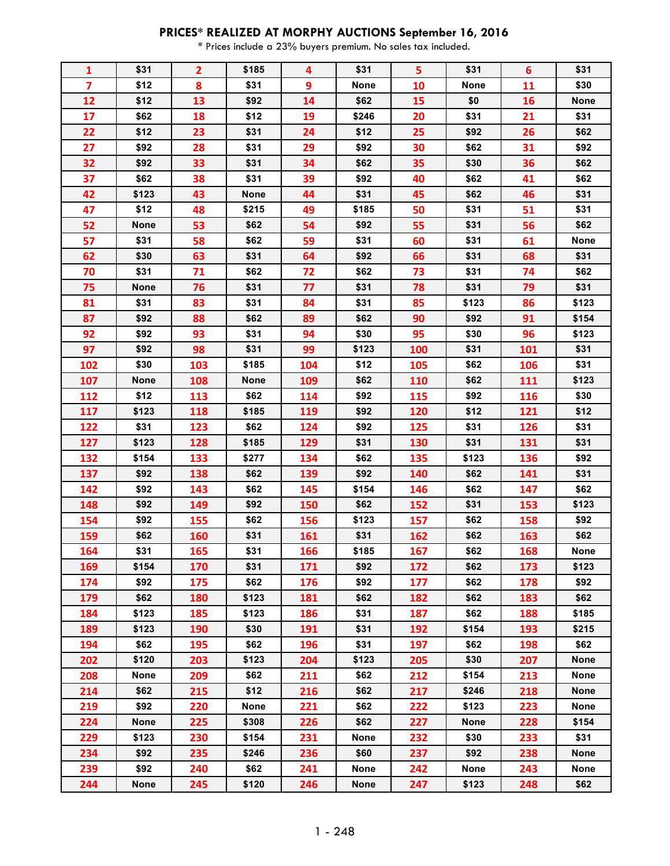## **PRICES\* REALIZED AT MORPHY AUCTIONS September 16, 2016**

\* Prices include a 23% buyers premium. No sales tax included.

| 1                       | \$31        | $\overline{2}$ | \$185       | 4   | \$31        | 5          | \$31        | 6   | \$31        |
|-------------------------|-------------|----------------|-------------|-----|-------------|------------|-------------|-----|-------------|
| $\overline{\mathbf{z}}$ | \$12        | 8              | \$31        | 9   | <b>None</b> | 10         | <b>None</b> | 11  | \$30        |
| 12                      | \$12        | 13             | \$92        | 14  | \$62        | 15         | \$0         | 16  | <b>None</b> |
| 17                      | \$62        | 18             | \$12        | 19  | \$246       | 20         | \$31        | 21  | \$31        |
| 22                      | \$12        | 23             | \$31        | 24  | \$12        | 25         | \$92        | 26  | \$62        |
| 27                      | \$92        | 28             | \$31        | 29  | \$92        | 30         | \$62        | 31  | \$92        |
| 32                      | \$92        | 33             | \$31        | 34  | \$62        | 35         | \$30        | 36  | \$62        |
| 37                      | \$62        | 38             | \$31        | 39  | \$92        | 40         | \$62        | 41  | \$62        |
| 42                      | \$123       | 43             | <b>None</b> | 44  | \$31        | 45         | \$62        | 46  | \$31        |
| 47                      | \$12        | 48             | \$215       | 49  | \$185       | 50         | \$31        | 51  | \$31        |
| 52                      | <b>None</b> | 53             | \$62        | 54  | \$92        | 55         | \$31        | 56  | \$62        |
| 57                      | \$31        | 58             | \$62        | 59  | \$31        | 60         | \$31        | 61  | <b>None</b> |
| 62                      | \$30        | 63             | \$31        | 64  | \$92        | 66         | \$31        | 68  | \$31        |
| 70                      | \$31        | 71             | \$62        | 72  | \$62        | 73         | \$31        | 74  | \$62        |
| 75                      | <b>None</b> | 76             | \$31        | 77  | \$31        | 78         | \$31        | 79  | \$31        |
| 81                      | \$31        | 83             | \$31        | 84  | \$31        | 85         | \$123       | 86  | \$123       |
| 87                      | \$92        | 88             | \$62        | 89  | \$62        | 90         | \$92        | 91  | \$154       |
| 92                      | \$92        | 93             | \$31        | 94  | \$30        | 95         | \$30        | 96  | \$123       |
| 97                      | \$92        | 98             | \$31        | 99  | \$123       | <b>100</b> | \$31        | 101 | \$31        |
| 102                     | \$30        | 103            | \$185       | 104 | \$12        | 105        | \$62        | 106 | \$31        |
| 107                     | <b>None</b> | 108            | None        | 109 | \$62        | 110        | \$62        | 111 | \$123       |
| 112                     | \$12        | 113            | \$62        | 114 | \$92        | 115        | \$92        | 116 | \$30        |
| 117                     | \$123       | 118            | \$185       | 119 | \$92        | 120        | \$12        | 121 | \$12        |
| 122                     | \$31        | 123            | \$62        | 124 | \$92        | 125        | \$31        | 126 | \$31        |
| 127                     | \$123       | 128            | \$185       | 129 | \$31        | 130        | \$31        | 131 | \$31        |
| 132                     | \$154       | 133            | \$277       | 134 | \$62        | 135        | \$123       | 136 | \$92        |
| 137                     | \$92        | 138            | \$62        | 139 | \$92        | 140        | \$62        | 141 | \$31        |
| 142                     | \$92        | 143            | \$62        | 145 | \$154       | 146        | \$62        | 147 | \$62        |
| 148                     | \$92        | 149            | \$92        | 150 | \$62        | 152        | \$31        | 153 | \$123       |
| 154                     | \$92        | 155            | \$62        | 156 | \$123       | 157        | \$62        | 158 | \$92        |
| 159                     | \$62        | 160            | \$31        | 161 | \$31        | 162        | \$62        | 163 | \$62        |
| 164                     | \$31        | 165            | \$31        | 166 | \$185       | 167        | \$62        | 168 | None        |
| 169                     | \$154       | 170            | \$31        | 171 | \$92        | 172        | \$62        | 173 | \$123       |
| 174                     | \$92        | 175            | \$62        | 176 | \$92        | 177        | \$62        | 178 | \$92        |
| 179                     | \$62        | 180            | \$123       | 181 | \$62        | 182        | \$62        | 183 | \$62        |
| 184                     | \$123       | 185            | \$123       | 186 | \$31        | 187        | \$62        | 188 | \$185       |
| 189                     | \$123       | <b>190</b>     | \$30        | 191 | \$31        | 192        | \$154       | 193 | \$215       |
| 194                     | \$62        | 195            | \$62        | 196 | \$31        | 197        | \$62        | 198 | \$62        |
| 202                     | \$120       | 203            | \$123       | 204 | \$123       | 205        | \$30        | 207 | None        |
| 208                     | None        | 209            | \$62        | 211 | \$62        | 212        | \$154       | 213 | <b>None</b> |
| 214                     | \$62        | 215            | \$12        | 216 | \$62        | 217        | \$246       | 218 | <b>None</b> |
| 219                     | \$92        | 220            | None        | 221 | \$62        | 222        | \$123       | 223 | None        |
| 224                     | <b>None</b> | 225            | \$308       | 226 | \$62        | 227        | <b>None</b> | 228 | \$154       |
| 229                     | \$123       | 230            | \$154       | 231 | <b>None</b> | 232        | \$30        | 233 | \$31        |
| 234                     | \$92        | 235            | \$246       | 236 | \$60        | 237        | \$92        | 238 | None        |
| 239                     | \$92        | 240            | \$62        | 241 | <b>None</b> | 242        | <b>None</b> | 243 | None        |
| 244                     | <b>None</b> | 245            | \$120       | 246 | <b>None</b> | 247        | \$123       | 248 | \$62        |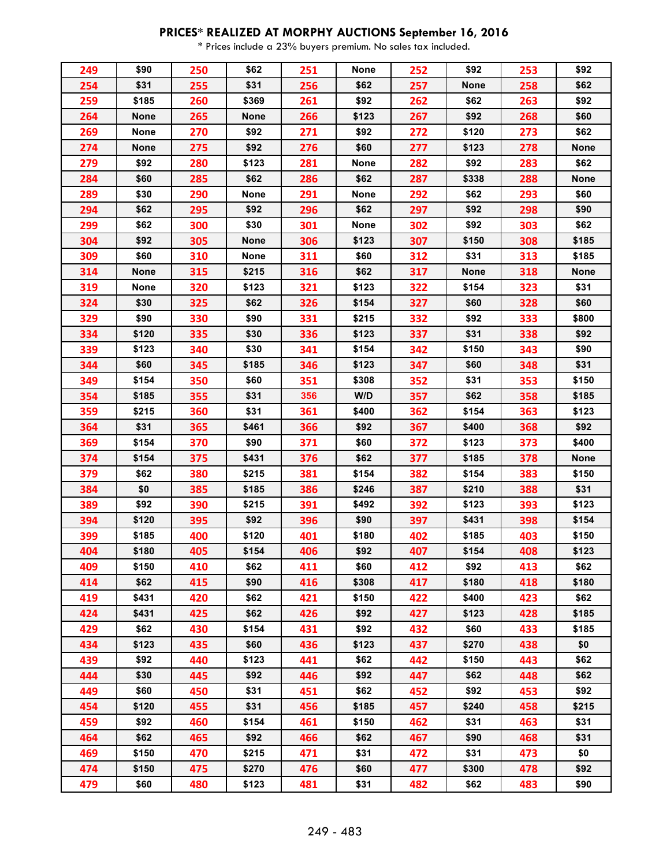## **PRICES\* REALIZED AT MORPHY AUCTIONS September 16, 2016**

\* Prices include a 23% buyers premium. No sales tax included.

| 249 | \$90        | 250 | \$62        | 251 | <b>None</b> | 252 | \$92        | 253 | \$92        |
|-----|-------------|-----|-------------|-----|-------------|-----|-------------|-----|-------------|
| 254 | \$31        | 255 | \$31        | 256 | \$62        | 257 | <b>None</b> | 258 | \$62        |
| 259 | \$185       | 260 | \$369       | 261 | \$92        | 262 | \$62        | 263 | \$92        |
| 264 | <b>None</b> | 265 | <b>None</b> | 266 | \$123       | 267 | \$92        | 268 | \$60        |
| 269 | <b>None</b> | 270 | \$92        | 271 | \$92        | 272 | \$120       | 273 | \$62        |
| 274 | <b>None</b> | 275 | \$92        | 276 | \$60        | 277 | \$123       | 278 | None        |
| 279 | \$92        | 280 | \$123       | 281 | <b>None</b> | 282 | \$92        | 283 | \$62        |
| 284 | \$60        | 285 | \$62        | 286 | \$62        | 287 | \$338       | 288 | <b>None</b> |
| 289 | \$30        | 290 | None        | 291 | <b>None</b> | 292 | \$62        | 293 | \$60        |
| 294 | \$62        | 295 | \$92        | 296 | \$62        | 297 | \$92        | 298 | \$90        |
| 299 | \$62        | 300 | \$30        | 301 | <b>None</b> | 302 | \$92        | 303 | \$62        |
| 304 | \$92        | 305 | <b>None</b> | 306 | \$123       | 307 | \$150       | 308 | \$185       |
| 309 | \$60        | 310 | None        | 311 | \$60        | 312 | \$31        | 313 | \$185       |
| 314 | <b>None</b> | 315 | \$215       | 316 | \$62        | 317 | <b>None</b> | 318 | <b>None</b> |
| 319 | <b>None</b> | 320 | \$123       | 321 | \$123       | 322 | \$154       | 323 | \$31        |
| 324 | \$30        | 325 | \$62        | 326 | \$154       | 327 | \$60        | 328 | \$60        |
| 329 | \$90        | 330 | \$90        | 331 | \$215       | 332 | \$92        | 333 | \$800       |
| 334 | \$120       | 335 | \$30        | 336 | \$123       | 337 | \$31        | 338 | \$92        |
| 339 | \$123       | 340 | \$30        | 341 | \$154       | 342 | \$150       | 343 | \$90        |
| 344 | \$60        | 345 | \$185       | 346 | \$123       | 347 | \$60        | 348 | \$31        |
| 349 | \$154       | 350 | \$60        | 351 | \$308       | 352 | \$31        | 353 | \$150       |
| 354 | \$185       | 355 | \$31        | 356 | W/D         | 357 | \$62        | 358 | \$185       |
| 359 | \$215       | 360 | \$31        | 361 | \$400       | 362 | \$154       | 363 | \$123       |
| 364 | \$31        | 365 | \$461       | 366 | \$92        | 367 | \$400       | 368 | \$92        |
| 369 | \$154       | 370 | \$90        | 371 | \$60        | 372 | \$123       | 373 | \$400       |
| 374 | \$154       | 375 | \$431       | 376 | \$62        | 377 | \$185       | 378 | <b>None</b> |
| 379 | \$62        | 380 | \$215       | 381 | \$154       | 382 | \$154       | 383 | \$150       |
| 384 | \$0         | 385 | \$185       | 386 | \$246       | 387 | \$210       | 388 | \$31        |
| 389 | \$92        | 390 | \$215       | 391 | \$492       | 392 | \$123       | 393 | \$123       |
| 394 | \$120       | 395 | \$92        | 396 | \$90        | 397 | \$431       | 398 | \$154       |
| 399 | \$185       | 400 | \$120       | 401 | \$180       | 402 | \$185       | 403 | \$150       |
| 404 | \$180       | 405 | \$154       | 406 | \$92        | 407 | \$154       | 408 | \$123       |
| 409 | \$150       | 410 | \$62        | 411 | \$60        | 412 | \$92        | 413 | \$62        |
| 414 | \$62        | 415 | \$90        | 416 | \$308       | 417 | \$180       | 418 | \$180       |
| 419 | \$431       | 420 | \$62        | 421 | \$150       | 422 | \$400       | 423 | \$62        |
| 424 | \$431       | 425 | \$62        | 426 | \$92        | 427 | \$123       | 428 | \$185       |
| 429 | \$62        | 430 | \$154       | 431 | \$92        | 432 | \$60        | 433 | \$185       |
| 434 | \$123       | 435 | \$60        | 436 | \$123       | 437 | \$270       | 438 | \$0         |
| 439 | \$92        | 440 | \$123       | 441 | \$62        | 442 | \$150       | 443 | \$62        |
| 444 | \$30        | 445 | \$92        | 446 | \$92        | 447 | \$62        | 448 | \$62        |
| 449 | \$60        | 450 | \$31        | 451 | \$62        | 452 | \$92        | 453 | \$92        |
| 454 | \$120       | 455 | \$31        | 456 | \$185       | 457 | \$240       | 458 | \$215       |
| 459 | \$92        | 460 | \$154       | 461 | \$150       | 462 | \$31        | 463 | \$31        |
| 464 | \$62        | 465 | \$92        | 466 | \$62        | 467 | \$90        | 468 | \$31        |
| 469 | \$150       | 470 | \$215       | 471 | \$31        | 472 | \$31        | 473 | \$0         |
| 474 | \$150       | 475 | \$270       | 476 | \$60        | 477 | \$300       | 478 | \$92        |
| 479 | \$60        | 480 | \$123       | 481 | \$31        | 482 | \$62        | 483 | \$90        |